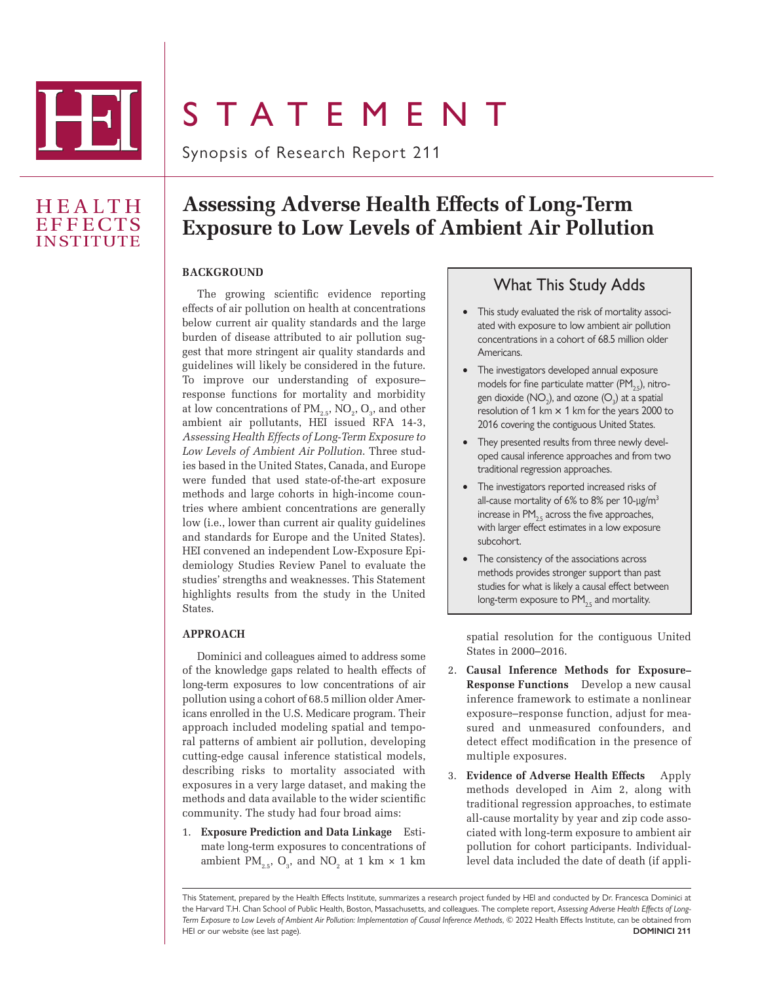

# **STATEMENT**

Synopsis of Research Report 211

## **HEALTH EFFECTS** INSTITUTE

# **Assessing Adverse Health Effects of Long-Term Exposure to Low Levels of Ambient Air Pollution**

#### **BACKGROUND**

The growing scientific evidence reporting effects of air pollution on health at concentrations below current air quality standards and the large burden of disease attributed to air pollution suggest that more stringent air quality standards and guidelines will likely be considered in the future. To improve our understanding of exposure– response functions for mortality and morbidity at low concentrations of  $\text{PM}_{2.5}$ , NO<sub>2</sub>, O<sub>3</sub>, and other ambient air pollutants, HEI issued RFA 14-3, *Assessing Health Effects of Long-Term Exposure to Low Levels of Ambient Air Pollution*. Three studies based in the United States, Canada, and Europe were funded that used state-of-the-art exposure methods and large cohorts in high-income countries where ambient concentrations are generally low (i.e., lower than current air quality guidelines and standards for Europe and the United States). HEI convened an independent Low-Exposure Epidemiology Studies Review Panel to evaluate the studies' strengths and weaknesses. This Statement highlights results from the study in the United States.

#### **APPROACH**

Dominici and colleagues aimed to address some of the knowledge gaps related to health effects of long-term exposures to low concentrations of air pollution using a cohort of 68.5 million older Americans enrolled in the U.S. Medicare program. Their approach included modeling spatial and temporal patterns of ambient air pollution, developing cutting-edge causal inference statistical models, describing risks to mortality associated with exposures in a very large dataset, and making the methods and data available to the wider scientific community. The study had four broad aims:

1. **Exposure Prediction and Data Linkage** Estimate long-term exposures to concentrations of ambient  $PM_{2.5}$ ,  $O_3$ , and  $NO_2$  at 1 km  $\times$  1 km

### What This Study Adds

- This study evaluated the risk of mortality associated with exposure to low ambient air pollution concentrations in a cohort of 68.5 million older **Americans**
- The investigators developed annual exposure models for fine particulate matter  $(PM_{2s})$ , nitrogen dioxide  $(\mathsf{NO}_2)$ , and ozone  $(\mathsf{O}_3)$  at a spatial resolution of 1 km  $\times$  1 km for the years 2000 to 2016 covering the contiguous United States.
- They presented results from three newly developed causal inference approaches and from two traditional regression approaches.
- The investigators reported increased risks of all-cause mortality of 6% to 8% per 10-µg/m<sup>3</sup> increase in  $PM_{25}$  across the five approaches, with larger effect estimates in a low exposure subcohort.
- The consistency of the associations across methods provides stronger support than past studies for what is likely a causal effect between long-term exposure to  $PM_{2.5}$  and mortality.

spatial resolution for the contiguous United States in 2000–2016.

- 2. **Causal Inference Methods for Exposure– Response Functions** Develop a new causal inference framework to estimate a nonlinear exposure–response function, adjust for measured and unmeasured confounders, and detect effect modification in the presence of multiple exposures.
- 3. **Evidence of Adverse Health Effects** Apply methods developed in Aim 2, along with traditional regression approaches, to estimate all-cause mortality by year and zip code associated with long-term exposure to ambient air pollution for cohort participants. Individuallevel data included the date of death (if appli-

This Statement, prepared by the Health Effects Institute, summarizes a research project funded by HEI and conducted by Dr. Francesca Dominici at the Harvard T.H. Chan School of Public Health, Boston, Massachusetts, and colleagues. The complete report, *Assessing Adverse Health Effects of Long-Term Exposure to Low Levels of Ambient Air Pollution: Implementation of Causal Inference Methods*, © 2022 Health Effects Institute, can be obtained from HEI or our website (see last page). **DOMINICI 211**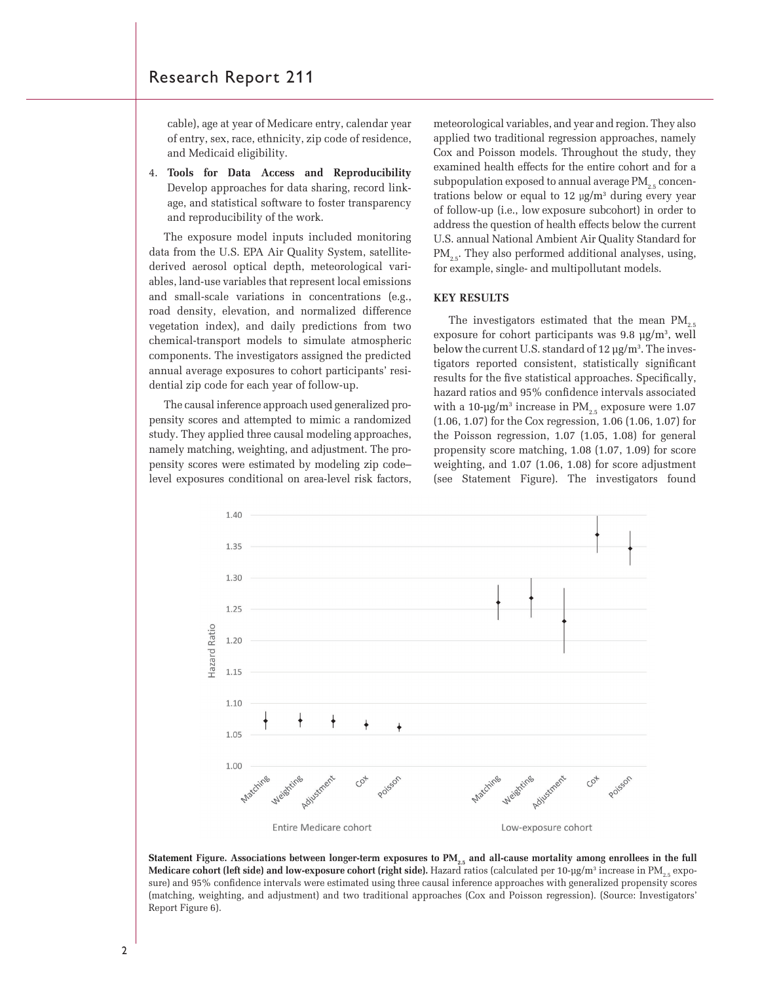cable), age at year of Medicare entry, calendar year of entry, sex, race, ethnicity, zip code of residence, and Medicaid eligibility.

4. **Tools for Data Access and Reproducibility**  Develop approaches for data sharing, record linkage, and statistical software to foster transparency and reproducibility of the work.

The exposure model inputs included monitoring data from the U.S. EPA Air Quality System, satellitederived aerosol optical depth, meteorological variables, land-use variables that represent local emissions and small-scale variations in concentrations (e.g., road density, elevation, and normalized difference vegetation index), and daily predictions from two chemical-transport models to simulate atmospheric components. The investigators assigned the predicted annual average exposures to cohort participants' residential zip code for each year of follow-up.

The causal inference approach used generalized propensity scores and attempted to mimic a randomized study. They applied three causal modeling approaches, namely matching, weighting, and adjustment. The propensity scores were estimated by modeling zip code– level exposures conditional on area-level risk factors,

meteorological variables, and year and region. They also applied two traditional regression approaches, namely Cox and Poisson models. Throughout the study, they examined health effects for the entire cohort and for a subpopulation exposed to annual average  $PM_{2.5}$  concentrations below or equal to 12 µg/m3 during every year of follow-up (i.e., low exposure subcohort) in order to address the question of health effects below the current U.S. annual National Ambient Air Quality Standard for  $PM_{2.5}$ . They also performed additional analyses, using, for example, single- and multipollutant models.

#### **KEY RESULTS**

The investigators estimated that the mean PM<sub>2</sub> exposure for cohort participants was  $9.8 \mu g/m^3$ , well below the current U.S. standard of 12 µg/m<sup>3</sup>. The investigators reported consistent, statistically significant results for the five statistical approaches. Specifically, hazard ratios and 95% confidence intervals associated with a 10- $\mu$ g/m $^3$  increase in PM $_{\text{2.5}}$  exposure were 1.07 (1.06, 1.07) for the Cox regression, 1.06 (1.06, 1.07) for the Poisson regression, 1.07 (1.05, 1.08) for general propensity score matching, 1.08 (1.07, 1.09) for score weighting, and 1.07 (1.06, 1.08) for score adjustment (see Statement Figure). The investigators found



Statement Figure. Associations between longer-term exposures to PM<sub>2.5</sub> and all-cause mortality among enrollees in the full **Medicare cohort (left side) and low-exposure cohort (right side).** Hazard ratios (calculated per 10-µg/m3 increase in PM2.5 exposure) and 95% confidence intervals were estimated using three causal inference approaches with generalized propensity scores (matching, weighting, and adjustment) and two traditional approaches (Cox and Poisson regression). (Source: Investigators' Report Figure 6).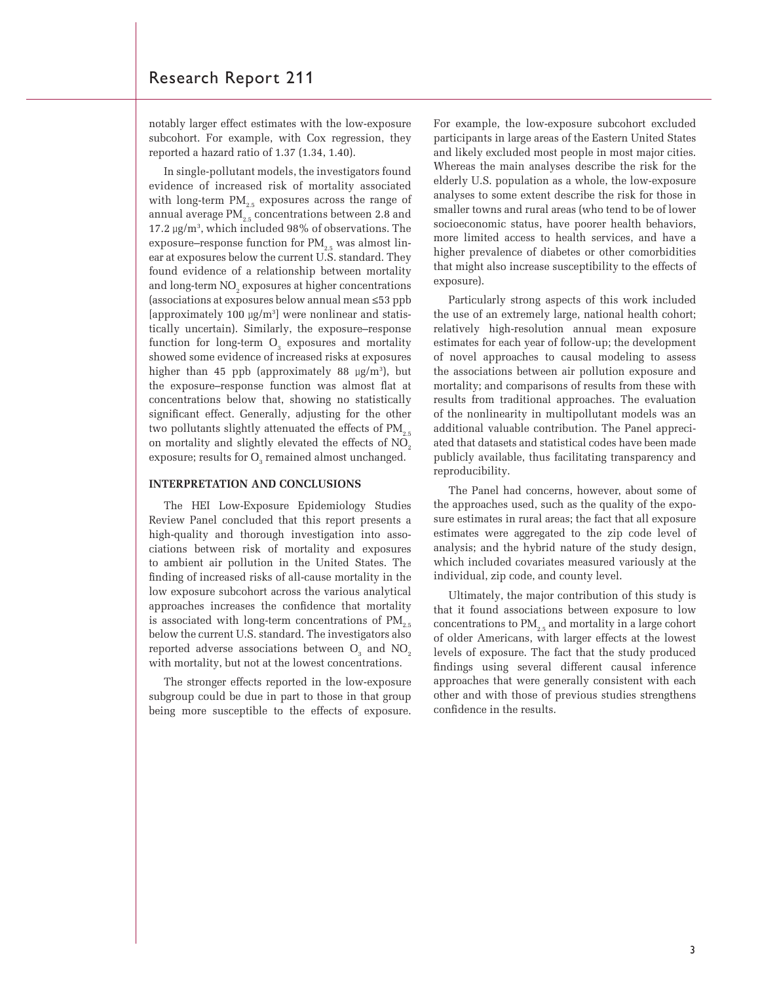notably larger effect estimates with the low-exposure subcohort. For example, with Cox regression, they reported a hazard ratio of 1.37 (1.34, 1.40).

In single-pollutant models, the investigators found evidence of increased risk of mortality associated with long-term  $PM_{2.5}$  exposures across the range of annual average  $PM_{2.5}$  concentrations between 2.8 and 17.2 µg/m3 , which included 98% of observations. The exposure–response function for  $PM_{2.5}$  was almost linear at exposures below the current U.S. standard. They found evidence of a relationship between mortality and long-term  $\mathrm{NO}_2$  exposures at higher concentrations (associations at exposures below annual mean ≤53 ppb [approximately 100  $\mu$ g/m<sup>3</sup>] were nonlinear and statistically uncertain). Similarly, the exposure–response function for long-term  $O_3$  exposures and mortality showed some evidence of increased risks at exposures higher than 45 ppb (approximately 88  $\mu$ g/m<sup>3</sup>), but the exposure–response function was almost flat at concentrations below that, showing no statistically significant effect. Generally, adjusting for the other two pollutants slightly attenuated the effects of  $PM_{25}$ on mortality and slightly elevated the effects of  $NO<sub>2</sub>$ exposure; results for  $O_{3}$  remained almost unchanged.

#### **INTERPRETATION AND CONCLUSIONS**

The HEI Low-Exposure Epidemiology Studies Review Panel concluded that this report presents a high-quality and thorough investigation into associations between risk of mortality and exposures to ambient air pollution in the United States. The finding of increased risks of all-cause mortality in the low exposure subcohort across the various analytical approaches increases the confidence that mortality is associated with long-term concentrations of  $PM_{2.5}$ below the current U.S. standard. The investigators also reported adverse associations between  $\mathrm{O}_{_{3}}$  and  $\mathrm{NO}_{_{2}}$ with mortality, but not at the lowest concentrations.

The stronger effects reported in the low-exposure subgroup could be due in part to those in that group being more susceptible to the effects of exposure. For example, the low-exposure subcohort excluded participants in large areas of the Eastern United States and likely excluded most people in most major cities. Whereas the main analyses describe the risk for the elderly U.S. population as a whole, the low-exposure analyses to some extent describe the risk for those in smaller towns and rural areas (who tend to be of lower socioeconomic status, have poorer health behaviors, more limited access to health services, and have a higher prevalence of diabetes or other comorbidities that might also increase susceptibility to the effects of exposure).

Particularly strong aspects of this work included the use of an extremely large, national health cohort; relatively high-resolution annual mean exposure estimates for each year of follow-up; the development of novel approaches to causal modeling to assess the associations between air pollution exposure and mortality; and comparisons of results from these with results from traditional approaches. The evaluation of the nonlinearity in multipollutant models was an additional valuable contribution. The Panel appreciated that datasets and statistical codes have been made publicly available, thus facilitating transparency and reproducibility.

The Panel had concerns, however, about some of the approaches used, such as the quality of the exposure estimates in rural areas; the fact that all exposure estimates were aggregated to the zip code level of analysis; and the hybrid nature of the study design, which included covariates measured variously at the individual, zip code, and county level.

Ultimately, the major contribution of this study is that it found associations between exposure to low concentrations to  $PM_{2.5}$  and mortality in a large cohort of older Americans, with larger effects at the lowest levels of exposure. The fact that the study produced findings using several different causal inference approaches that were generally consistent with each other and with those of previous studies strengthens confidence in the results.